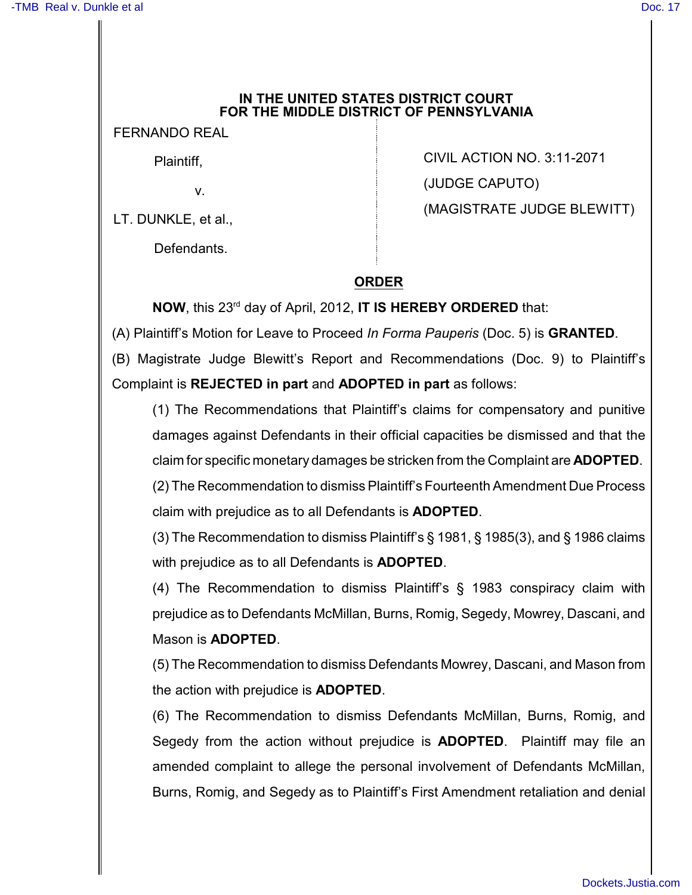## **IN THE UNITED STATES DISTRICT COURT FOR THE MIDDLE DISTRICT OF PENNSYLVANIA**

FERNANDO REAL

Plaintiff,

v.

LT. DUNKLE, et al.,

Defendants.

CIVIL ACTION NO. 3:11-2071 (JUDGE CAPUTO) (MAGISTRATE JUDGE BLEWITT)

## **ORDER**

**NOW**, this 23<sup>rd</sup> day of April, 2012, **IT IS HEREBY ORDERED** that:

(A) Plaintiff's Motion for Leave to Proceed *In Forma Pauperis* (Doc. 5) is **GRANTED**.

(B) Magistrate Judge Blewitt's Report and Recommendations (Doc. 9) to Plaintiff's Complaint is **REJECTED in part** and **ADOPTED in part** as follows:

(1) The Recommendations that Plaintiff's claims for compensatory and punitive damages against Defendants in their official capacities be dismissed and that the claim for specific monetary damages be stricken from the Complaint are **ADOPTED**.

(2) The Recommendation to dismiss Plaintiff's Fourteenth Amendment Due Process claim with prejudice as to all Defendants is **ADOPTED**.

(3) The Recommendation to dismiss Plaintiff's § 1981, § 1985(3), and § 1986 claims with prejudice as to all Defendants is **ADOPTED**.

(4) The Recommendation to dismiss Plaintiff's § 1983 conspiracy claim with prejudice as to Defendants McMillan, Burns, Romig, Segedy, Mowrey, Dascani, and Mason is **ADOPTED**.

(5) The Recommendation to dismiss Defendants Mowrey, Dascani, and Mason from the action with prejudice is **ADOPTED**.

(6) The Recommendation to dismiss Defendants McMillan, Burns, Romig, and Segedy from the action without prejudice is **ADOPTED**. Plaintiff may file an amended complaint to allege the personal involvement of Defendants McMillan, Burns, Romig, and Segedy as to Plaintiff's First Amendment retaliation and denial